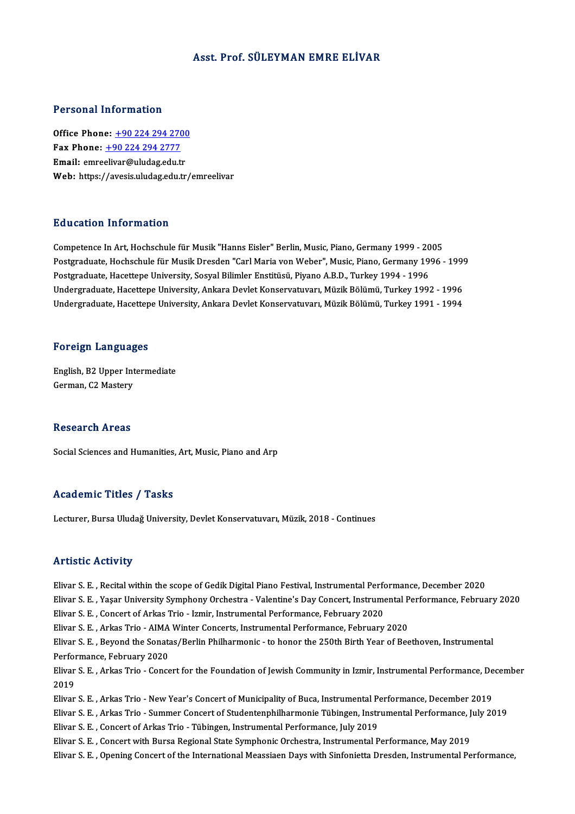## Asst. Prof. SÜLEYMAN EMRE ELİVAR

### Personal Information

Office Phone: +90 224 294 2700 Fax Phone: <u>+90 224 294 270</u><br>Fax Phone: <u>+90 224 294 2777</u><br>Fmail: emreelivar@uludes.edu.tr Office Phone: <u>+90 224 294 2700</u><br>Fax Phone: <u>+90 224 294 2777</u><br>Email: emre[elivar@uludag.edu.](tel:+90 224 294 2777)[tr](tel:+90 224 294 2700) Email: emreelivar@uludag.edu.tr<br>Web: https://avesis.uludag.edu.tr/emreelivar

## Education Information

Competence In Art, Hochschule für Musik "Hanns Eisler" Berlin, Music, Piano, Germany 1999 - 2005 Pu u cutron Throt Inderon<br>Competence In Art, Hochschule für Musik "Hanns Eisler" Berlin, Music, Piano, Germany 1999 - 2005<br>Postgraduate, Hochschule für Musik Dresden "Carl Maria von Weber", Music, Piano, Germany 1996 - 199 Competence In Art, Hochschule für Musik "Hanns Eisler" Berlin, Music, Piano, Germany 1999 - 20<br>Postgraduate, Hochschule für Musik Dresden "Carl Maria von Weber", Music, Piano, Germany 19<br>Postgraduate, Hacettepe University, Postgraduate, Hochschule für Musik Dresden "Carl Maria von Weber", Music, Piano, Germany 1996 - 1999<br>Postgraduate, Hacettepe University, Sosyal Bilimler Enstitüsü, Piyano A.B.D., Turkey 1994 - 1996<br>Undergraduate, Hacettepe Postgraduate, Hacettepe University, Sosyal Bilimler Enstitüsü, Piyano A.B.D., Turkey 1994 - 1996<br>Undergraduate, Hacettepe University, Ankara Devlet Konservatuvarı, Müzik Bölümü, Turkey 1992 - 1996<br>Undergraduate, Hacettepe Undergraduate, Hacettepe University, Ankara Devlet Konservatuvarı, Müzik Bölümü, Turkey 1991 - 1994<br>Foreign Languages

Foreign Languages<br>English, B2 Upper Intermediate<br>Carman C2 Mastery For organ Eungulage<br>English, B2 Upper Int<br>German, C2 Mastery German, C2 Mastery<br>Research Areas

Social Sciences and Humanities, Art, Music, Piano and Arp

# Academic Titles / Tasks

Lecturer, Bursa Uludağ University, Devlet Konservatuvarı, Müzik, 2018 - Continues

## **Artistic Activity**

Artistic Activity<br>Elivar S. E. , Recital within the scope of Gedik Digital Piano Festival, Instrumental Performance, December 2020<br>Flivar S. E., Nasar University Symphony Orchestra, Malentine's Day Consert, Instrumental Pe Elivar S. E., Yaşar University Symphony Orchestra - Valentine's Day Concert, Instrumental Performance, February 2020<br>Elivar S. E., Concert of Arkas Trio - Izmir, Instrumental Performance, February 2020 Elivar S. E. , Recital within the scope of Gedik Digital Piano Festival, Instrumental Performance S. E. , Yaşar University Symphony Orchestra - Valentine's Day Concert, Instrume<br>Elivar S. E. , Concert of Arkas Trio - Izmir Elivar S. E. , Yaşar University Symphony Orchestra - Valentine's Day Concert, Instrumental P<br>Elivar S. E. , Concert of Arkas Trio - Izmir, Instrumental Performance, February 2020<br>Elivar S. E. , Arkas Trio - AIMA Winter Con Elivar S. E. , Beyond the Sonatas/Berlin Philharmonic - to honor the 250th Birth Year of Beethoven, Instrumental<br>Performance, February 2020 Elivar S. E. , Arkas Trio - AIMA<br>Elivar S. E. , Beyond the Sonat:<br>Performance, February 2020<br>Elivar S. E. , Arkas Trio , Conse Elivar S. E. , Beyond the Sonatas/Berlin Philharmonic - to honor the 250th Birth Year of Beethoven, Instrumental<br>Performance, February 2020<br>Elivar S. E. , Arkas Trio - Concert for the Foundation of Jewish Community in Izmi Perfoi<br>Elivar<br>2019<br>Eliver Elivar S. E. , Arkas Trio - Concert for the Foundation of Jewish Community in Izmir, Instrumental Performance, De<br>2019<br>Elivar S. E. , Arkas Trio - New Year's Concert of Municipality of Buca, Instrumental Performance, Decem 2019<br>Elivar S. E. , Arkas Trio - New Year's Concert of Municipality of Buca, Instrumental Performance, December 2019<br>Elivar S. E. , Arkas Trio - Summer Concert of Studentenphilharmonie Tübingen, Instrumental Performance, J Elivar S. E. , Arkas Trio - New Year's Concert of Municipality of Buca, Instrumental Performance, July 2019<br>Elivar S. E. , Arkas Trio - Summer Concert of Studentenphilharmonie Tübingen, Instr<br>Elivar S. E. , Concert of Arka Elivar S. E. , Arkas Trio - Summer Concert of Studentenphilharmonie Tübingen, Instrumental Performance, J<br>Elivar S. E. , Concert of Arkas Trio - Tübingen, Instrumental Performance, July 2019<br>Elivar S. E. , Concert with Bur Elivar S. E. , Concert of Arkas Trio - Tübingen, Instrumental Performance, July 2019<br>Elivar S. E. , Concert with Bursa Regional State Symphonic Orchestra, Instrumental Performance, May 2019<br>Elivar S. E. , Opening Concert o